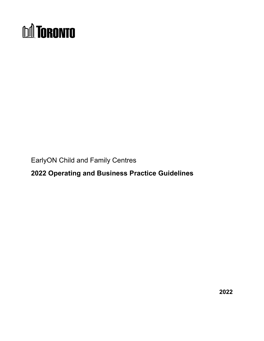# **DA TORONTO**

EarlyON Child and Family Centres

<span id="page-0-0"></span>**2022 Operating and Business Practice Guidelines** 

**2022**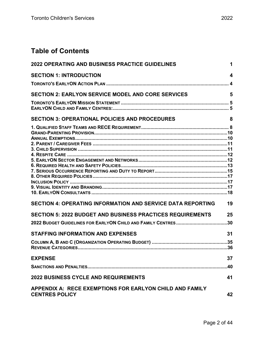# **Table of Contents**

| <b>2022 OPERATING AND BUSINESS PRACTICE GUIDELINES</b>                            |           |
|-----------------------------------------------------------------------------------|-----------|
| <b>SECTION 1: INTRODUCTION</b>                                                    | 4         |
| <b>SECTION 2: EARLYON SERVICE MODEL AND CORE SERVICES</b>                         | 5         |
| <b>SECTION 3: OPERATIONAL POLICIES AND PROCEDURES</b>                             | 8         |
|                                                                                   |           |
| <b>SECTION 4: OPERATING INFORMATION AND SERVICE DATA REPORTING</b>                | 19        |
| <b>SECTION 5: 2022 BUDGET AND BUSINESS PRACTICES REQUIREMENTS</b>                 | 25        |
| <b>STAFFING INFORMATION AND EXPENSES</b>                                          | 31        |
| <b>EXPENSE</b>                                                                    | 37<br>.40 |
| <b>2022 BUSINESS CYCLE AND REQUIREMENTS</b>                                       | 41        |
| APPENDIX A: RECE EXEMPTIONS FOR EARLYON CHILD AND FAMILY<br><b>CENTRES POLICY</b> | 42        |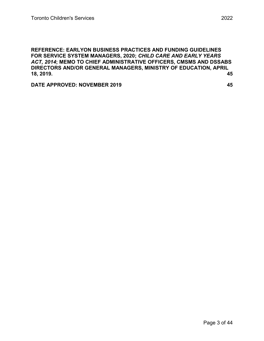**REFERENCE: [EARLYON BUSINESS PRACTICES AND FUNDING GUIDELINES](#page-44-0)  [FOR SERVICE SYSTEM MANAGERS, 2020;](#page-44-0)** *CHILD CARE AND EARLY YEARS ACT, 2014***[; MEMO TO CHIEF ADMINISTRATIVE OFFICERS, CMSMS AND DSSABS](#page-44-0)  [DIRECTORS AND/OR GENERAL MANAGERS, MINISTRY OF EDUCATION, APRIL](#page-44-0)  [18, 2019.](#page-44-0) 45**

**[DATE APPROVED:](#page-44-1) NOVEMBER 2019 45**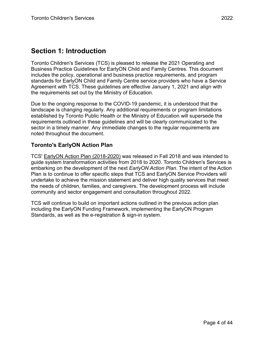# <span id="page-3-0"></span>**Section 1: Introduction**

Toronto Children's Services (TCS) is pleased to release the 2021 Operating and Business Practice Guidelines for EarlyON Child and Family Centres. This document includes the policy, operational and business practice requirements, and program standards for EarlyON Child and Family Centre service providers who have a Service Agreement with TCS. These guidelines are effective January 1, 2021 and align with the requirements set out by the Ministry of Education.

Due to the ongoing response to the COVID-19 pandemic, it is understood that the landscape is changing regularly. Any additional requirements or program limitations established by Toronto Public Health or the Ministry of Education will supersede the requirements outlined in these guidelines and will be clearly communicated to the sector in a timely manner. Any immediate changes to the regular requirements are noted throughout the document.

# <span id="page-3-1"></span>**Toronto's EarlyON Action Plan**

TCS' [EarlyON Action Plan \(2018-2020\)](https://www.toronto.ca/wp-content/uploads/2018/12/94fd-cs-early-on-action-plan-2019.pdf) was released in Fall 2018 and was intended to guide system transformation activities from 2018 to 2020. Toronto Children's Services is embarking on the development of the next *EarlyON Action Plan*. The intent of the Action Plan is to continue to offer specific steps that TCS and EarlyON Service Providers will undertake to achieve the mission statement and deliver high quality services that meet the needs of children, families, and caregivers. The development process will include community and sector engagement and consultation throughout 2022.

TCS will continue to build on important actions outlined in the previous action plan including the EarlyON Funding Framework, implementing the EarlyON Program Standards, as well as the e-registration & sign-in system.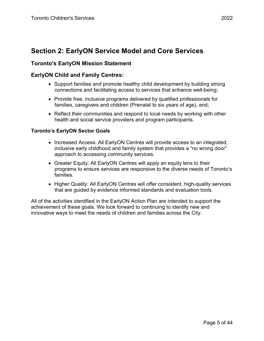# <span id="page-4-0"></span>**Section 2: EarlyON Service Model and Core Services**

# <span id="page-4-1"></span>**Toronto's EarlyON Mission Statement**

# <span id="page-4-2"></span>**EarlyON Child and Family Centres:**

- Support families and promote healthy child development by building strong connections and facilitating access to services that enhance well-being;
- Provide free, inclusive programs delivered by qualified professionals for families, caregivers and children (Prenatal to six years of age), and;
- Reflect their communities and respond to local needs by working with other health and social service providers and program participants.

## **Toronto's EarlyON Sector Goals**

- Increased Access: All EarlyON Centres will provide access to an integrated, inclusive early childhood and family system that provides a "no wrong door" approach to accessing community services.
- Greater Equity: All EarlyON Centres will apply an equity lens to their programs to ensure services are responsive to the diverse needs of Toronto's families.
- Higher Quality: All EarlyON Centres will offer consistent, high-quality services that are guided by evidence informed standards and evaluation tools.

All of the activities identified in the EarlyON Action Plan are intended to support the achievement of these goals. We look forward to continuing to identify new and innovative ways to meet the needs of children and families across the City.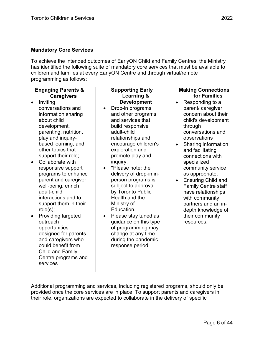## **Mandatory Core Services**

To achieve the intended outcomes of EarlyON Child and Family Centres, the Ministry has identified the following suite of mandatory core services that must be available to children and families at every EarlyON Centre and through virtual/remote programming as follows:

## **Engaging Parents & Caregivers**

- Inviting conversations and information sharing about child development, parenting, nutrition, play and inquirybased learning, and other topics that support their role;
- Collaborate with responsive support programs to enhance parent and caregiver well-being, enrich adult-child interactions and to support them in their role(s);
- Providing targeted outreach opportunities designed for parents and caregivers who could benefit from Child and Family Centre programs and services

#### **Supporting Early Learning & Development**

- Drop-in programs and other programs and services that build responsive adult-child relationships and encourage children's exploration and promote play and inquiry.
- \*Please note: the delivery of drop-in inperson programs is subject to approval by Toronto Public Health and the Ministry of Education.
- Please stay tuned as guidance on this type of programming may change at any time during the pandemic response period.

## **Making Connections for Families**

- Responding to a parent/ caregiver concern about their child's development through conversations and observations
- Sharing information and facilitating connections with specialized community service as appropriate.
- Ensuring Child and Family Centre staff have relationships with community partners and an indepth knowledge of their community resources.

Additional programming and services, including registered programs, should only be provided once the core services are in place. To support parents and caregivers in their role, organizations are expected to collaborate in the delivery of specific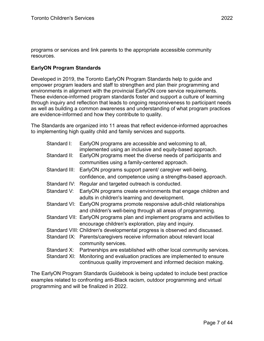programs or services and link parents to the appropriate accessible community resources.

# **EarlyON Program Standards**

Developed in 2019, the Toronto EarlyON Program Standards help to guide and empower program leaders and staff to strengthen and plan their programming and environments in alignment with the provincial EarlyON core service requirements. These evidence-informed program standards foster and support a culture of learning through inquiry and reflection that leads to ongoing responsiveness to participant needs as well as building a common awareness and understanding of what program practices are evidence-informed and how they contribute to quality.

The Standards are organized into 11 areas that reflect evidence-informed approaches to implementing high quality child and family services and supports.

| Standard I:   | EarlyON programs are accessible and welcoming to all,<br>implemented using an inclusive and equity-based approach.                         |
|---------------|--------------------------------------------------------------------------------------------------------------------------------------------|
| Standard II:  | EarlyON programs meet the diverse needs of participants and                                                                                |
|               | communities using a family-centered approach.                                                                                              |
| Standard III: | EarlyON programs support parent/ caregiver well-being,                                                                                     |
|               | confidence, and competence using a strengths-based approach.                                                                               |
| Standard IV:  | Regular and targeted outreach is conducted.                                                                                                |
| Standard V:   | EarlyON programs create environments that engage children and<br>adults in children's learning and development.                            |
|               | Standard VI: EarlyON programs promote responsive adult-child relationships<br>and children's well-being through all areas of programming.  |
|               | Standard VII: EarlyON programs plan and implement programs and activities to<br>encourage children's exploration, play and inquiry.        |
|               | Standard VIII: Children's developmental progress is observed and discussed.                                                                |
|               | Standard IX: Parents/caregivers receive information about relevant local<br>community services.                                            |
|               | Standard X: Partnerships are established with other local community services.                                                              |
|               | Standard XI: Monitoring and evaluation practices are implemented to ensure<br>continuous quality improvement and informed decision making. |

The EarlyON Program Standards Guidebook is being updated to include best practice examples related to confronting anti-Black racism, outdoor programming and virtual programming and will be finalized in 2022.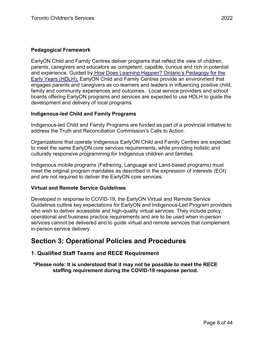## **Pedagogical Framework**

EarlyON Child and Family Centres deliver programs that reflect the view of children, parents, caregivers and educators as competent, capable, curious and rich in potential and experience. Guided by [How Does Learning Happen? Ontario's Pedagogy for the](https://files.ontario.ca/edu-how-does-learning-happen-en-2021-03-23.pdf)  [Early Years \(HDLH\),](https://files.ontario.ca/edu-how-does-learning-happen-en-2021-03-23.pdf) EarlyON Child and Family Centres provide an environment that engages parents and caregivers as co-learners and leaders in influencing positive child, family and community experiences and outcomes. Local service providers and school boards offering EarlyON programs and services are expected to use HDLH to guide the development and delivery of local programs.

## **Indigenous-led Child and Family Programs**

Indigenous-led Child and Family Programs are funded as part of a provincial initiative to address the Truth and Reconciliation Commission's Calls to Action.

Organizations that operate Indigenous EarlyON Child and Family Centres are expected to meet the same EarlyON core services requirements, while providing holistic and culturally responsive programming for Indigenous children and families.

Indigenous mobile programs (Fathering, Language and Land-based programs) must meet the original program mandates as described in the expression of interests (EOI) and are not required to deliver the EarlyON core services.

## **Virtual and Remote Service Guidelines**

Developed in response to COVID-19, the EarlyON Virtual and Remote Service Guidelines outline key expectations for EarlyON and Indigenous-Led Program providers who wish to deliver accessible and high-quality virtual services. They include policy, operational and business practice requirements and are to be used when in-person services cannot be delivered and to guide virtual and remote services that complement in-person service delivery.

# <span id="page-7-0"></span>**Section 3: Operational Policies and Procedures**

# <span id="page-7-1"></span>**1. Qualified Staff Teams and RECE Requirement**

**\*Please note: It is understood that it may not be possible to meet the RECE staffing requirement during the COVID-19 response period.**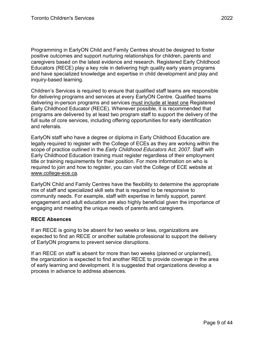Programming in EarlyON Child and Family Centres should be designed to foster positive outcomes and support nurturing relationships for children, parents and caregivers based on the latest evidence and research. Registered Early Childhood Educators (RECE) play a key role in delivering high quality early years programs and have specialized knowledge and expertise in child development and play and inquiry-based learning.

Children's Services is required to ensure that qualified staff teams are responsible for delivering programs and services at every EarlyON Centre. Qualified teams delivering in-person programs and services must include at least one Registered Early Childhood Educator (RECE). Whenever possible, it is recommended that programs are delivered by at least two program staff to support the delivery of the full suite of core services, including offering opportunities for early identification and referrals.

EarlyON staff who have a degree or diploma in Early Childhood Education are legally required to register with the College of ECEs as they are working within the scope of practice outlined in the *Early Childhood Educators Act, 2007*. Staff with Early Childhood Education training must register regardless of their employment title or training requirements for their position. For more information on who is required to join and how to register, you can visit the College of ECE website at [www.college-ece.ca.](http://www.college-ece.ca/)

EarlyON Child and Family Centres have the flexibility to determine the appropriate mix of staff and specialized skill sets that is required to be responsive to community needs. For example, staff with expertise in family support, parent engagement and adult education are also highly beneficial given the importance of engaging and meeting the unique needs of parents and caregivers.

## **RECE Absences**

If an RECE is going to be absent for two weeks or less, organizations are expected to find an RECE or another suitable professional to support the delivery of EarlyON programs to prevent service disruptions.

If an RECE on staff is absent for more than two weeks (planned or unplanned), the organization is expected to find another RECE to provide coverage in the area of early learning and development. It is suggested that organizations develop a process in advance to address absences.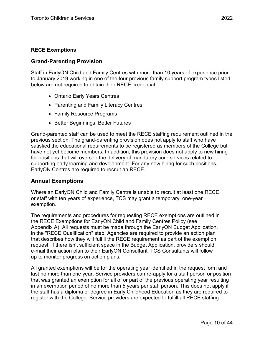# <span id="page-9-0"></span>**Grand-Parenting Provision**

Staff in EarlyON Child and Family Centres with more than 10 years of experience prior to January 2019 working in one of the four previous family support program types listed below are not required to obtain their RECE credential:

- Ontario Early Years Centres
- Parenting and Family Literacy Centres
- Family Resource Programs
- Better Beginnings, Better Futures

Grand-parented staff can be used to meet the RECE staffing requirement outlined in the previous section. The grand-parenting provision does not apply to staff who have satisfied the educational requirements to be registered as members of the College but have not yet become members. In addition, this provision does not apply to new hiring for positions that will oversee the delivery of mandatory core services related to supporting early learning and development. For any new hiring for such positions, EarlyON Centres are required to recruit an RECE.

# <span id="page-9-1"></span>**Annual Exemptions**

Where an EarlyON Child and Family Centre is unable to recruit at least one RECE or staff with ten years of experience, TCS may grant a temporary, one-year exemption.

The requirements and procedures for requesting RECE exemptions are outlined in the [RECE Exemptions for EarlyON Child and Family Centres Policy](https://www.toronto.ca/community-people/community-partners/early-learning-child-care-partners/planning-earlyon-child-family-centres-2/) (see Appendix A). All requests must be made through the EarlyON Budget Application, in the "RECE Qualification" step. Agencies are required to provide an action plan that describes how they will fulfill the RECE requirement as part of the exemption request. If there isn't sufficient space in the Budget Application, providers should e-mail their action plan to their EarlyON Consultant. TCS Consultants will follow up to monitor progress on action plans.

All granted exemptions will be for the operating year identified in the request form and last no more than one year. Service providers can re-apply for a staff person or position that was granted an exemption for all of or part of the previous operating year resulting in an exemption period of no more than 5 years per staff person. This does not apply if the staff has a diploma or degree in Early Childhood Education as they are required to register with the College. Service providers are expected to fulfill all RECE staffing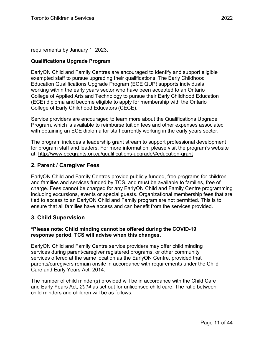requirements by January 1, 2023.

# **Qualifications Upgrade Program**

EarlyON Child and Family Centres are encouraged to identify and support eligible exempted staff to pursue upgrading their qualifications. The Early Childhood Education Qualifications Upgrade Program (ECE QUP) supports individuals working within the early years sector who have been accepted to an Ontario College of Applied Arts and Technology to pursue their Early Childhood Education (ECE) diploma and become eligible to apply for membership with the Ontario College of Early Childhood Educators (CECE).

Service providers are encouraged to learn more about the Qualifications Upgrade Program, which is available to reimburse tuition fees and other expenses associated with obtaining an ECE diploma for staff currently working in the early years sector.

The program includes a leadership grant stream to support professional development for program staff and leaders. For more information, please visit the program's website at:<http://www.ecegrants.on.ca/qualifications-upgrade/#education-grant>

# <span id="page-10-0"></span>**2. Parent / Caregiver Fees**

EarlyON Child and Family Centres provide publicly funded, free programs for children and families and services funded by TCS, and must be available to families, free of charge. Fees cannot be charged for any EarlyON Child and Family Centre programming including excursions, events or special guests. Organizational membership fees that are tied to access to an EarlyON Child and Family program are not permitted. This is to ensure that all families have access and can benefit from the services provided.

# <span id="page-10-1"></span>**3. Child Supervision**

## **\*Please note: Child minding cannot be offered during the COVID-19 response period. TCS will advise when this changes.**

EarlyON Child and Family Centre service providers may offer child minding services during parent/caregiver registered programs, or other community services offered at the same location as the EarlyON Centre, provided that parents/caregivers remain onsite in accordance with requirements under the Child Care and Early Years Act, 2014.

The number of child minder(s) provided will be in accordance with the Child Care and Early Years Act, *2014* as set out for unlicensed child care. The ratio between child minders and children will be as follows: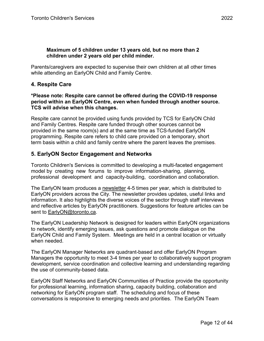#### **Maximum of 5 children under 13 years old, but no more than 2 children under 2 years old per child minder.**

Parents/caregivers are expected to supervise their own children at all other times while attending an EarlyON Child and Family Centre.

# <span id="page-11-0"></span>**4. Respite Care**

## **\*Please note: Respite care cannot be offered during the COVID-19 response period within an EarlyON Centre, even when funded through another source. TCS will advise when this changes.**

Respite care cannot be provided using funds provided by TCS for EarlyON Child and Family Centres. Respite care funded through other sources cannot be provided in the same room(s) and at the same time as TCS-funded EarlyON programming. Respite care refers to child care provided on a temporary, short term basis within a child and family centre where the parent leaves the premises.

# <span id="page-11-1"></span>**5. EarlyON Sector Engagement and Networks**

Toronto Children's Services is committed to developing a multi-faceted engagement model by creating new forums to improve information-sharing, planning, professional development and capacity-building, coordination and collaboration.

The EarlyON team produces a [newsletter](https://www.toronto.ca/community-people/community-partners/early-learning-child-care-partners/planning-earlyon-child-family-centres-2/) 4-5 times per year, which is distributed to EarlyON providers across the City. The newsletter provides updates, useful links and information. It also highlights the diverse voices of the sector through staff interviews and reflective articles by EarlyON practitioners. Suggestions for feature articles can be sent to [EarlyON@toronto.ca.](mailto:EarlyON@toronto.ca)

The EarlyON Leadership Network is designed for leaders within EarlyON organizations to network, identify emerging issues, ask questions and promote dialogue on the EarlyON Child and Family System. Meetings are held in a central location or virtually when needed.

The EarlyON Manager Networks are quadrant-based and offer EarlyON Program Managers the opportunity to meet 3-4 times per year to collaboratively support program development, service coordination and collective learning and understanding regarding the use of community-based data.

EarlyON Staff Networks and EarlyON Communities of Practice provide the opportunity for professional learning, information sharing, capacity building, collaboration and networking for EarlyON program staff. The scheduling and focus of these conversations is responsive to emerging needs and priorities. The EarlyON Team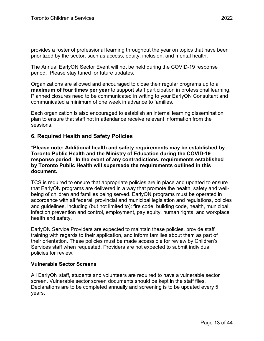provides a roster of professional learning throughout the year on topics that have been prioritized by the sector, such as access, equity, inclusion, and mental health.

The Annual EarlyON Sector Event will not be held during the COVID-19 response period. Please stay tuned for future updates.

Organizations are allowed and encouraged to close their regular programs up to a **maximum of four times per year** to support staff participation in professional learning. Planned closures need to be communicated in writing to your EarlyON Consultant and communicated a minimum of one week in advance to families.

Each organization is also encouraged to establish an internal learning dissemination plan to ensure that staff not in attendance receive relevant information from the sessions.

# <span id="page-12-0"></span>**6. Required Health and Safety Policies**

**\*Please note: Additional health and safety requirements may be established by Toronto Public Health and the Ministry of Education during the COVID-19 response period. In the event of any contradictions, requirements established by Toronto Public Health will supersede the requirements outlined in this document.**

TCS is required to ensure that appropriate policies are in place and updated to ensure that EarlyON programs are delivered in a way that promote the health, safety and wellbeing of children and families being served. EarlyON programs must be operated in accordance with all federal, provincial and municipal legislation and regulations, policies and guidelines, including (but not limited to): fire code, building code, health, municipal, infection prevention and control, employment, pay equity, human rights, and workplace health and safety.

EarlyON Service Providers are expected to maintain these policies, provide staff training with regards to their application, and inform families about them as part of their orientation. These policies must be made accessible for review by Children's Services staff when requested. Providers are not expected to submit individual policies for review.

## **Vulnerable Sector Screens**

All EarlyON staff, students and volunteers are required to have a vulnerable sector screen. Vulnerable sector screen documents should be kept in the staff files. Declarations are to be completed annually and screening is to be updated every 5 years.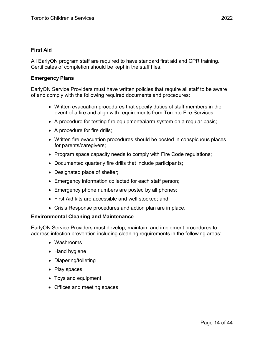#### **First Aid**

All EarlyON program staff are required to have standard first aid and CPR training. Certificates of completion should be kept in the staff files.

#### **Emergency Plans**

EarlyON Service Providers must have written policies that require all staff to be aware of and comply with the following required documents and procedures:

- Written evacuation procedures that specify duties of staff members in the event of a fire and align with requirements from Toronto Fire Services;
- A procedure for testing fire equipment/alarm system on a regular basis;
- A procedure for fire drills;
- Written fire evacuation procedures should be posted in conspicuous places for parents/caregivers;
- Program space capacity needs to comply with Fire Code regulations;
- Documented quarterly fire drills that include participants;
- Designated place of shelter;
- Emergency information collected for each staff person;
- Emergency phone numbers are posted by all phones;
- First Aid kits are accessible and well stocked; and
- Crisis Response procedures and action plan are in place.

#### **Environmental Cleaning and Maintenance**

EarlyON Service Providers must develop, maintain, and implement procedures to address infection prevention including cleaning requirements in the following areas:

- Washrooms
- Hand hygiene
- Diapering/toileting
- Play spaces
- Toys and equipment
- Offices and meeting spaces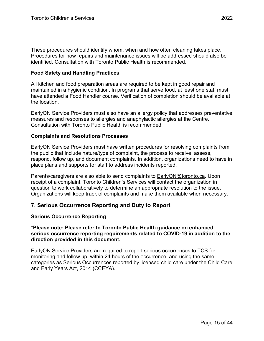These procedures should identify whom, when and how often cleaning takes place. Procedures for how repairs and maintenance issues will be addressed should also be identified. Consultation with Toronto Public Health is recommended.

#### **Food Safety and Handling Practices**

All kitchen and food preparation areas are required to be kept in good repair and maintained in a hygienic condition. In programs that serve food, at least one staff must have attended a Food Handler course. Verification of completion should be available at the location.

EarlyON Service Providers must also have an allergy policy that addresses preventative measures and responses to allergies and anaphylactic allergies at the Centre. Consultation with Toronto Public Health is recommended.

#### **Complaints and Resolutions Processes**

EarlyON Service Providers must have written procedures for resolving complaints from the public that include nature/type of complaint, the process to receive, assess, respond, follow up, and document complaints. In addition, organizations need to have in place plans and supports for staff to address incidents reported.

Parents/caregivers are also able to send complaints to [EarlyON@toronto.ca.](mailto:EarlyON@toronto.ca) Upon receipt of a complaint, Toronto Children's Services will contact the organization in question to work collaboratively to determine an appropriate resolution to the issue. Organizations will keep track of complaints and make them available when necessary.

## <span id="page-14-0"></span>**7. Serious Occurrence Reporting and Duty to Report**

#### **Serious Occurrence Reporting**

**\*Please note: Please refer to Toronto Public Health guidance on enhanced serious occurrence reporting requirements related to COVID-19 in addition to the direction provided in this document.**

EarlyON Service Providers are required to report serious occurrences to TCS for monitoring and follow up, within 24 hours of the occurrence, and using the same categories as Serious Occurrences reported by licensed child care under the Child Care and Early Years Act, 2014 (CCEYA).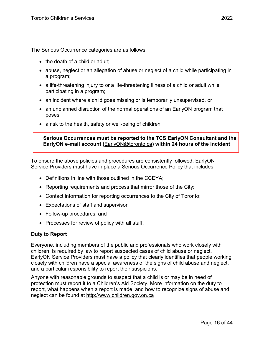The Serious Occurrence categories are as follows:

- the death of a child or adult;
- abuse, neglect or an allegation of abuse or neglect of a child while participating in a program;
- a life-threatening injury to or a life-threatening illness of a child or adult while participating in a program;
- an incident where a child goes missing or is temporarily unsupervised, or
- an unplanned disruption of the normal operations of an EarlyON program that poses
- a risk to the health, safety or well-being of children

**Serious Occurrences must be reported to the TCS EarlyON Consultant and the EarlyON e-mail account (**[EarlyON@toronto.ca](mailto:EarlyON@toronto.ca)**) within 24 hours of the incident**

To ensure the above policies and procedures are consistently followed, EarlyON Service Providers must have in place a Serious Occurrence Policy that includes:

- Definitions in line with those outlined in the CCEYA:
- Reporting requirements and process that mirror those of the City;
- Contact information for reporting occurrences to the City of Toronto;
- Expectations of staff and supervisor;
- Follow-up procedures; and
- Processes for review of policy with all staff.

## **Duty to Report**

Everyone, including members of the public and professionals who work closely with children, is required by law to report suspected cases of child abuse or neglect. EarlyON Service Providers must have a policy that clearly identifies that people working closely with children have a special awareness of the signs of child abuse and neglect, and a particular responsibility to report their suspicions.

Anyone with reasonable grounds to suspect that a child is or may be in need of protection must report it to [a Children's Aid Society.](https://www.ontario.ca/page/child-welfare-and-child-protection-services) More information on the duty to report, what happens when a report is made, and how to recognize signs of abuse and neglect can be found at [http://www.children.gov.on.ca](http://www.children.gov.on.ca/)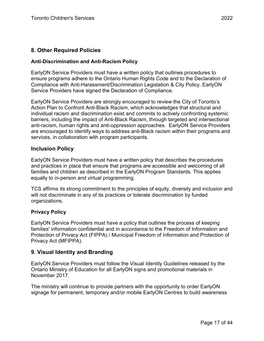# <span id="page-16-0"></span>**8. Other Required Policies**

## **Anti-Discrimination and Anti-Racism Policy**

EarlyON Service Providers must have a written policy that outlines procedures to ensure programs adhere to the Ontario Human Rights Code and to the Declaration of Compliance with Anti-Harassment/Discrimination Legislation & City Policy. EarlyON Service Providers have signed the Declaration of Compliance.

EarlyON Service Providers are strongly encouraged to review the City of Toronto's Action Plan to Confront Anti-Black Racism, which acknowledges that structural and individual racism and discrimination exist and commits to actively confronting systemic barriers, including the impact of Anti-Black Racism, through targeted and intersectional anti-racism, human rights and anti-oppression approaches. EarlyON Service Providers are encouraged to identify ways to address anti-Black racism within their programs and services, in collaboration with program participants.

# <span id="page-16-1"></span>**Inclusion Policy**

EarlyON Service Providers must have a written policy that describes the procedures and practices in place that ensure that programs are accessible and welcoming of all families and children as described in the EarlyON Program Standards. This applies equally to in-person and virtual programming.

TCS affirms its strong commitment to the principles of equity, diversity and inclusion and will not discriminate in any of its practices or tolerate discrimination by funded organizations.

## **Privacy Policy**

EarlyON Service Providers must have a policy that outlines the process of keeping families' information confidential and in accordance to the Freedom of Information and Protection of Privacy Act (FIPPA) / Municipal Freedom of Information and Protection of Privacy Act (MFIPPA).

# <span id="page-16-2"></span>**9. Visual Identity and Branding**

EarlyON Service Providers must follow the Visual Identity Guidelines released by the Ontario Ministry of Education for all EarlyON signs and promotional materials in November 2017.

The ministry will continue to provide partners with the opportunity to order EarlyON signage for permanent, temporary and/or mobile EarlyON Centres to build awareness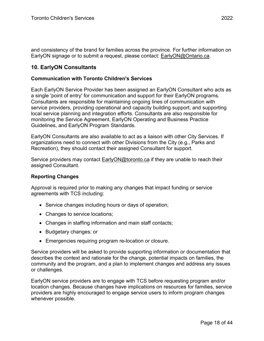and consistency of the brand for families across the province. For further information on EarlyON signage or to submit a request, please contact: [EarlyON@Ontario.ca.](mailto:EarlyON@Ontario.ca)

# <span id="page-17-0"></span>**10. EarlyON Consultants**

#### **Communication with Toronto Children's Services**

Each EarlyON Service Provider has been assigned an EarlyON Consultant who acts as a single 'point of entry' for communication and support for their EarlyON programs. Consultants are responsible for maintaining ongoing lines of communication with service providers, providing operational and capacity building support, and supporting local service planning and integration efforts. Consultants are also responsible for monitoring the Service Agreement, EarlyON Operating and Business Practice Guidelines, and EarlyON Program Standards.

EarlyON Consultants are also available to act as a liaison with other City Services. If organizations need to connect with other Divisions from the City (e.g., Parks and Recreation), they should contact their assigned Consultant for support.

Service providers may contact [EarlyON@toronto.ca](mailto:EarlyON@toronto.ca) if they are unable to reach their assigned Consultant.

## **Reporting Changes**

Approval is required prior to making any changes that impact funding or service agreements with TCS including:

- Service changes including hours or days of operation;
- Changes to service locations;
- Changes in staffing information and main staff contacts;
- Budgetary changes; or
- Emergencies requiring program re-location or closure.

Service providers will be asked to provide supporting information or documentation that describes the context and rationale for the change, potential impacts on families, the community and the program, and a plan to implement changes and address any issues or challenges.

EarlyON service providers are to engage with TCS before requesting program and/or location changes. Because changes have implications on resources for families, service providers are highly encouraged to engage service users to inform program changes whenever possible.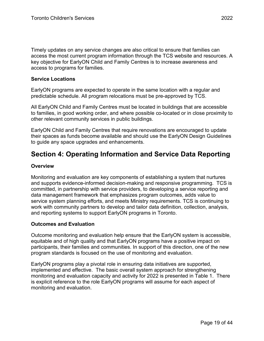Timely updates on any service changes are also critical to ensure that families can access the most current program information through the TCS website and resources. A key objective for EarlyON Child and Family Centres is to increase awareness and access to programs for families.

#### **Service Locations**

EarlyON programs are expected to operate in the same location with a regular and predictable schedule. All program relocations must be pre-approved by TCS.

All EarlyON Child and Family Centres must be located in buildings that are accessible to families, in good working order, and where possible co-located or in close proximity to other relevant community services in public buildings.

EarlyON Child and Family Centres that require renovations are encouraged to update their spaces as funds become available and should use the EarlyON Design Guidelines to guide any space upgrades and enhancements.

# <span id="page-18-0"></span>**Section 4: Operating Information and Service Data Reporting**

## **Overview**

Monitoring and evaluation are key components of establishing a system that nurtures and supports evidence-informed decision-making and responsive programming. TCS is committed, in partnership with service providers, to developing a service reporting and data management framework that emphasizes program outcomes, adds value to service system planning efforts, and meets Ministry requirements. TCS is continuing to work with community partners to develop and tailor data definition, collection, analysis, and reporting systems to support EarlyON programs in Toronto.

## **Outcomes and Evaluation**

Outcome monitoring and evaluation help ensure that the EarlyON system is accessible, equitable and of high quality and that EarlyON programs have a positive impact on participants, their families and communities. In support of this direction, one of the new program standards is focused on the use of monitoring and evaluation.

EarlyON programs play a pivotal role in ensuring data initiatives are supported, implemented and effective. The basic overall system approach for strengthening monitoring and evaluation capacity and activity for 2022 is presented in Table 1. There is explicit reference to the role EarlyON programs will assume for each aspect of monitoring and evaluation.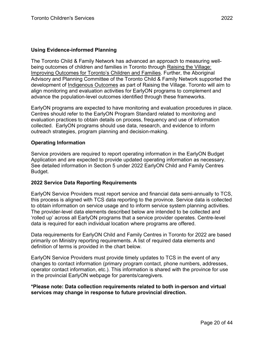# **Using Evidence-informed Planning**

The Toronto Child & Family Network has advanced an approach to measuring wellbeing outcomes of children and families in Toronto through [Raising the Village:](https://www1.toronto.ca/wps/portal/contentonly?vgnextoid=3c707f56a7026410VgnVCM10000071d60f89RCRD)  [Improving Outcomes for Toronto's Children and Families.](https://www1.toronto.ca/wps/portal/contentonly?vgnextoid=3c707f56a7026410VgnVCM10000071d60f89RCRD) Further, the Aboriginal Advisory and Planning Committee of the Toronto Child & Family Network supported the development of [Indigenous Outcomes](https://www1.toronto.ca/City%20Of%20Toronto/Children) as part of Raising the Village. Toronto will aim to align monitoring and evaluation activities for EarlyON programs to complement and advance the population-level outcomes identified through these frameworks.

EarlyON programs are expected to have monitoring and evaluation procedures in place. Centres should refer to the EarlyON Program Standard related to monitoring and evaluation practices to obtain details on process, frequency and use of information collected. EarlyON programs should use data, research, and evidence to inform outreach strategies, program planning and decision-making.

#### **Operating Information**

Service providers are required to report operating information in the EarlyON Budget Application and are expected to provide updated operating information as necessary. See detailed information in Section 5 under 2022 EarlyON Child and Family Centres Budget.

## **2022 Service Data Reporting Requirements**

EarlyON Service Providers must report service and financial data semi-annually to TCS, this process is aligned with TCS data reporting to the province. Service data is collected to obtain information on service usage and to inform service system planning activities. The provider-level data elements described below are intended to be collected and 'rolled up' across all EarlyON programs that a service provider operates. Centre-level data is required for each individual location where programs are offered.

Data requirements for EarlyON Child and Family Centres in Toronto for 2022 are based primarily on Ministry reporting requirements. A list of required data elements and definition of terms is provided in the chart below.

EarlyON Service Providers must provide timely updates to TCS in the event of any changes to contact information (primary program contact, phone numbers, addresses, operator contact information, etc.). This information is shared with the province for use in the provincial EarlyON webpage for parents/caregivers.

## **\*Please note: Data collection requirements related to both in-person and virtual services may change in response to future provincial direction.**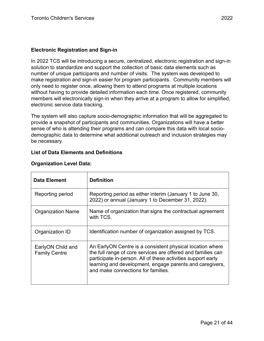In 2022 TCS will be introducing a secure, centralized, electronic registration and sign-in solution to standardize and support the collection of basic data elements such as number of unique participants and number of visits. The system was developed to make registration and sign-in easier for program participants. Community members will only need to register once, allowing them to attend programs at multiple locations without having to provide detailed information each time. Once registered, community members will electronically sign-in when they arrive at a program to allow for simplified, electronic service data tracking.

The system will also capture socio-demographic information that will be aggregated to provide a snapshot of participants and communities. Organizations will have a better sense of who is attending their programs and can compare this data with local sociodemographic data to determine what additional outreach and inclusion strategies may be necessary.

# **List of Data Elements and Definitions**

| <b>Data Element</b>                       | <b>Definition</b>                                                                                                                                                                                                                                                                           |
|-------------------------------------------|---------------------------------------------------------------------------------------------------------------------------------------------------------------------------------------------------------------------------------------------------------------------------------------------|
| Reporting period                          | Reporting period as either interim (January 1 to June 30,<br>2022) or annual (January 1 to December 31, 2022).                                                                                                                                                                              |
| <b>Organization Name</b>                  | Name of organization that signs the contractual agreement<br>with TCS.                                                                                                                                                                                                                      |
| Organization ID                           | Identification number of organization assigned by TCS.                                                                                                                                                                                                                                      |
| EarlyON Child and<br><b>Family Centre</b> | An EarlyON Centre is a consistent physical location where<br>the full range of core services are offered and families can<br>participate in-person. All of these activities support early<br>learning and development, engage parents and caregivers,<br>and make connections for families. |

## **Organization Level Data:**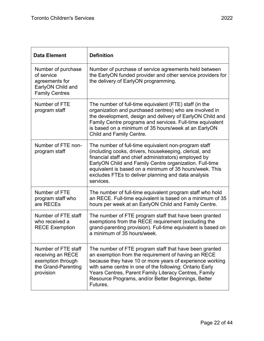| <b>Data Element</b>                                                                               | <b>Definition</b>                                                                                                                                                                                                                                                                                                                                                 |  |
|---------------------------------------------------------------------------------------------------|-------------------------------------------------------------------------------------------------------------------------------------------------------------------------------------------------------------------------------------------------------------------------------------------------------------------------------------------------------------------|--|
| Number of purchase<br>of service<br>agreements for<br>EarlyON Child and<br><b>Family Centres</b>  | Number of purchase of service agreements held between<br>the EarlyON funded provider and other service providers for<br>the delivery of EarlyON programming.                                                                                                                                                                                                      |  |
| Number of FTE<br>program staff                                                                    | The number of full-time equivalent (FTE) staff (in the<br>organization and purchased centres) who are involved in<br>the development, design and delivery of EarlyON Child and<br>Family Centre programs and services. Full-time equivalent<br>is based on a minimum of 35 hours/week at an EarlyON<br>Child and Family Centre.                                   |  |
| Number of FTE non-<br>program staff                                                               | The number of full-time equivalent non-program staff<br>(including cooks, drivers, housekeeping, clerical, and<br>financial staff and chief administrators) employed by<br>EarlyON Child and Family Centre organization. Full-time<br>equivalent is based on a minimum of 35 hours/week. This<br>excludes FTEs to deliver planning and data analysis<br>services. |  |
| Number of FTE<br>program staff who<br>are RECEs                                                   | The number of full-time equivalent program staff who hold<br>an RECE. Full-time equivalent is based on a minimum of 35<br>hours per week at an EarlyON Child and Family Centre.                                                                                                                                                                                   |  |
| Number of FTE staff<br>who received a<br><b>RECE Exemption</b>                                    | The number of FTE program staff that have been granted<br>exemptions from the RECE requirement (excluding the<br>grand-parenting provision). Full-time equivalent is based on<br>a minimum of 35 hours/week.                                                                                                                                                      |  |
| Number of FTE staff<br>receiving an RECE<br>exemption through<br>the Grand-Parenting<br>provision | The number of FTE program staff that have been granted<br>an exemption from the requirement of having an RECE<br>because they have 10 or more years of experience working<br>with same centre in one of the following: Ontario Early<br>Years Centres, Parent Family Literacy Centres, Family<br>Resource Programs, and/or Better Beginnings, Better<br>Futures.  |  |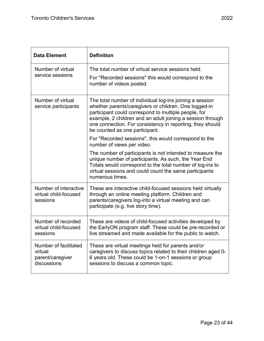| <b>Data Element</b>                                                 | <b>Definition</b>                                                                                                                                                                                                                                                                                                                      |  |
|---------------------------------------------------------------------|----------------------------------------------------------------------------------------------------------------------------------------------------------------------------------------------------------------------------------------------------------------------------------------------------------------------------------------|--|
| Number of virtual                                                   | The total number of virtual service sessions held.                                                                                                                                                                                                                                                                                     |  |
| service sessions                                                    | For "Recorded sessions" this would correspond to the<br>number of videos posted.                                                                                                                                                                                                                                                       |  |
| Number of virtual<br>service participants                           | The total number of individual log-ins joining a session<br>whether parents/caregivers or children. One logged-in<br>participant could correspond to multiple people, for<br>example, 2 children and an adult joining a session through<br>one connection. For consistency in reporting, they should<br>be counted as one participant. |  |
|                                                                     | For "Recorded sessions", this would correspond to the<br>number of views per video.                                                                                                                                                                                                                                                    |  |
|                                                                     | The number of participants is not intended to measure the<br>unique number of participants. As such, the Year End<br>Totals would correspond to the total number of log-ins to<br>virtual sessions and could count the same participants<br>numerous times.                                                                            |  |
| Number of interactive<br>virtual child-focused<br>sessions          | These are interactive child-focused sessions held virtually<br>through an online meeting platform. Children and<br>parents/caregivers log-into a virtual meeting and can<br>participate (e.g. live story time).                                                                                                                        |  |
| Number of recorded<br>virtual child-focused<br>sessions             | These are videos of child-focused activities developed by<br>the EarlyON program staff. These could be pre-recorded or<br>live streamed and made available for the public to watch.                                                                                                                                                    |  |
| Number of facilitated<br>virtual<br>parent/caregiver<br>discussions | These are virtual meetings held for parents and/or<br>caregivers to discuss topics related to their children aged 0-<br>6 years old. These could be 1-on-1 sessions or group<br>sessions to discuss a common topic.                                                                                                                    |  |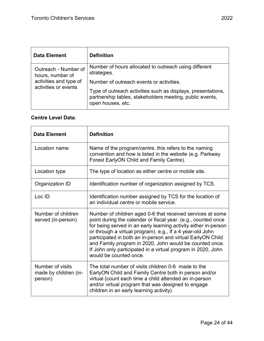| <b>Data Element</b>                            | <b>Definition</b>                                                                                                                             |
|------------------------------------------------|-----------------------------------------------------------------------------------------------------------------------------------------------|
| Outreach - Number of<br>hours, number of       | Number of hours allocated to outreach using different<br>strategies.                                                                          |
| activities and type of<br>activities or events | Number of outreach events or activities.                                                                                                      |
|                                                | Type of outreach activities such as displays, presentations,<br>partnership tables, stakeholders meeting, public events,<br>open houses, etc. |

# **Centre Level Data**:

| <b>Data Element</b>                                  | <b>Definition</b>                                                                                                                                                                                                                                                                                                                                                                                                                                                               |
|------------------------------------------------------|---------------------------------------------------------------------------------------------------------------------------------------------------------------------------------------------------------------------------------------------------------------------------------------------------------------------------------------------------------------------------------------------------------------------------------------------------------------------------------|
| Location name                                        | Name of the program/centre, this refers to the naming<br>convention and how is listed in the website (e.g. Parkway<br>Forest EarlyON Child and Family Centre).                                                                                                                                                                                                                                                                                                                  |
| Location type                                        | The type of location as either centre or mobile site.                                                                                                                                                                                                                                                                                                                                                                                                                           |
| Organization ID                                      | Identification number of organization assigned by TCS.                                                                                                                                                                                                                                                                                                                                                                                                                          |
| Loc ID                                               | Identification number assigned by TCS for the location of<br>an individual centre or mobile service.                                                                                                                                                                                                                                                                                                                                                                            |
| Number of children<br>served (in-person)             | Number of children aged 0-6 that received services at some<br>point during the calendar or fiscal year. (e.g., counted once<br>for being served in an early learning activity either in-person<br>or through a virtual program). e.g., If a 4 year-old John<br>participated in both an in-person and virtual EarlyON Child<br>and Family program in 2020, John would be counted once.<br>If John only participated in a virtual program in 2020, John<br>would be counted once. |
| Number of visits<br>made by children (in-<br>person) | The total number of visits children 0-6 made to the<br>EarlyON Child and Family Centre both in person and/or<br>virtual (count each time a child attended an in-person<br>and/or virtual program that was designed to engage<br>children in an early learning activity)                                                                                                                                                                                                         |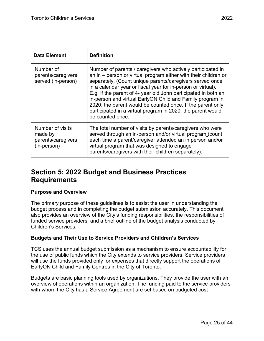| <b>Data Element</b>                                              | <b>Definition</b>                                                                                                                                                                                                                                                                                                                                                                                                                                                                                                                            |
|------------------------------------------------------------------|----------------------------------------------------------------------------------------------------------------------------------------------------------------------------------------------------------------------------------------------------------------------------------------------------------------------------------------------------------------------------------------------------------------------------------------------------------------------------------------------------------------------------------------------|
| Number of<br>parents/caregivers<br>served (in-person)            | Number of parents / caregivers who actively participated in<br>an in $-$ person or virtual program either with their children or<br>separately. (Count unique parents/caregivers served once<br>in a calendar year or fiscal year for in-person or virtual).<br>E.g. If the parent of 4- year old John participated in both an<br>in-person and virtual EarlyON Child and Family program in<br>2020, the parent would be counted once. If the parent only<br>participated in a virtual program in 2020, the parent would<br>be counted once. |
| Number of visits<br>made by<br>parents/caregivers<br>(in-person) | The total number of visits by parents/caregivers who were<br>served through an in-person and/or virtual program (count<br>each time a parent/caregiver attended an in person and/or<br>virtual program that was designed to engage<br>parents/caregivers with their children separately).                                                                                                                                                                                                                                                    |

# <span id="page-24-0"></span>**Section 5: 2022 Budget and Business Practices Requirements**

## **Purpose and Overview**

The primary purpose of these guidelines is to assist the user in understanding the budget process and in completing the budget submission accurately. This document also provides an overview of the City's funding responsibilities, the responsibilities of funded service providers, and a brief outline of the budget analysis conducted by Children's Services.

## **Budgets and Their Use to Service Providers and Children's Services**

TCS uses the annual budget submission as a mechanism to ensure accountability for the use of public funds which the City extends to service providers. Service providers will use the funds provided only for expenses that directly support the operations of EarlyON Child and Family Centres in the City of Toronto.

Budgets are basic planning tools used by organizations. They provide the user with an overview of operations within an organization. The funding paid to the service providers with whom the City has a Service Agreement are set based on budgeted cost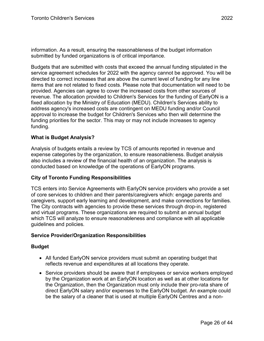Budgets that are submitted with costs that exceed the annual funding stipulated in the service agreement schedules for 2022 with the agency cannot be approved. You will be directed to correct increases that are above the current level of funding for any line items that are not related to fixed costs. Please note that documentation will need to be provided. Agencies can agree to cover the increased costs from other sources of revenue. The allocation provided to Children's Services for the funding of EarlyON is a fixed allocation by the Ministry of Education (MEDU). Children's Services ability to address agency's increased costs are contingent on MEDU funding and/or Council approval to increase the budget for Children's Services who then will determine the funding priorities for the sector. This may or may not include increases to agency funding.

# **What is Budget Analysis?**

Analysis of budgets entails a review by TCS of amounts reported in revenue and expense categories by the organization, to ensure reasonableness. Budget analysis also includes a review of the financial health of an organization. The analysis is conducted based on knowledge of the operations of EarlyON programs.

## **City of Toronto Funding Responsibilities**

TCS enters into Service Agreements with EarlyON service providers who provide a set of core services to children and their parents/caregivers which: engage parents and caregivers, support early learning and development, and make connections for families. The City contracts with agencies to provide these services through drop-in, registered and virtual programs. These organizations are required to submit an annual budget which TCS will analyze to ensure reasonableness and compliance with all applicable guidelines and policies.

## **Service Provider/Organization Responsibilities**

## **Budget**

- All funded EarlyON service providers must submit an operating budget that reflects revenue and expenditures at all locations they operate.
- Service providers should be aware that if employees or service workers employed by the Organization work at an EarlyON location as well as at other locations for the Organization, then the Organization must only include their pro-rata share of direct EarlyON salary and/or expenses to the EarlyON budget. An example could be the salary of a cleaner that is used at multiple EarlyON Centres and a non-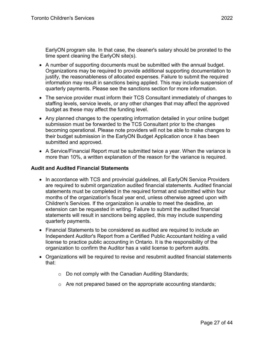EarlyON program site. In that case, the cleaner's salary should be prorated to the time spent cleaning the EarlyON site(s).

- A number of supporting documents must be submitted with the annual budget. Organizations may be required to provide additional supporting documentation to justify, the reasonableness of allocated expenses. Failure to submit the required information may result in sanctions being applied. This may include suspension of quarterly payments. Please see the sanctions section for more information.
- The service provider must inform their TCS Consultant immediately of changes to staffing levels, service levels, or any other changes that may affect the approved budget as these may affect the funding level.
- Any planned changes to the operating information detailed in your online budget submission must be forwarded to the TCS Consultant prior to the changes becoming operational. Please note providers will not be able to make changes to their budget submission in the EarlyON Budget Application once it has been submitted and approved.
- A Service/Financial Report must be submitted twice a year. When the variance is more than 10%, a written explanation of the reason for the variance is required.

# **Audit and Audited Financial Statements**

- In accordance with TCS and provincial guidelines, all EarlyON Service Providers are required to submit organization audited financial statements. Audited financial statements must be completed in the required format and submitted within four months of the organization's fiscal year end, unless otherwise agreed upon with Children's Services. If the organization is unable to meet the deadline, an extension can be requested in writing. Failure to submit the audited financial statements will result in sanctions being applied, this may include suspending quarterly payments.
- Financial Statements to be considered as audited are required to include an Independent Auditor's Report from a Certified Public Accountant holding a valid license to practice public accounting in Ontario. It is the responsibility of the organization to confirm the Auditor has a valid license to perform audits.
- Organizations will be required to revise and resubmit audited financial statements that:
	- o Do not comply with the Canadian Auditing Standards;
	- o Are not prepared based on the appropriate accounting standards;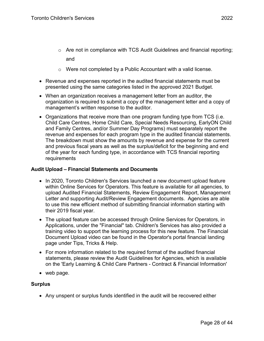- $\circ$  Are not in compliance with TCS Audit Guidelines and financial reporting; and
- o Were not completed by a Public Accountant with a valid license.
- Revenue and expenses reported in the audited financial statements must be presented using the same categories listed in the approved 2021 Budget.
- When an organization receives a management letter from an auditor, the organization is required to submit a copy of the management letter and a copy of management's written response to the auditor.
- Organizations that receive more than one program funding type from TCS (i.e. Child Care Centres, Home Child Care, Special Needs Resourcing, EarlyON Child and Family Centres, and/or Summer Day Programs) must separately report the revenue and expenses for each program type in the audited financial statements. The breakdown must show the amounts by revenue and expense for the current and previous fiscal years as well as the surplus/deficit for the beginning and end of the year for each funding type, in accordance with TCS financial reporting requirements

#### **Audit Upload** *–* **Financial Statements and Documents**

- In 2020, Toronto Children's Services launched a new document upload feature within Online Services for Operators. This feature is available for all agencies, to upload Audited Financial Statements, Review Engagement Report, Management Letter and supporting Audit/Review Engagement documents. Agencies are able to use this new efficient method of submitting financial information starting with their 2019 fiscal year.
- The upload feature can be accessed through Online Services for Operators, in Applications, under the "Financial" tab. Children's Services has also provided a training video to support the learning process for this new feature. The Financial Document Upload video can be found in the Operator's portal financial landing page under Tips, Tricks & Help.
- For more information related to the required format of the audited financial statements, please review the [Audit Guidelines for Agencies,](https://www.toronto.ca/wp-content/uploads/2019/01/8ed8-cs-audit-guidelines.pdf) which is available on the 'Early Learning & Child Care Partners - Contract & Financial Information'
- web page.

## **Surplus**

• Any unspent or surplus funds identified in the audit will be recovered either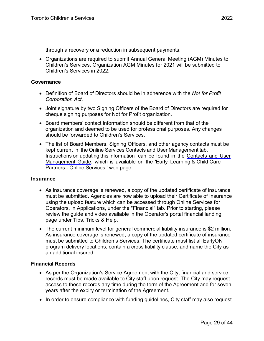through a recovery or a reduction in subsequent payments.

• Organizations are required to submit Annual General Meeting (AGM) Minutes to Children's Services. Organization AGM Minutes for 2021 will be submitted to Children's Services in 2022.

#### **Governance**

- Definition of Board of Directors should be in adherence with the *Not for Profit Corporation Act*.
- Joint signature by two Signing Officers of the Board of Directors are required for cheque signing purposes for Not for Profit organization.
- Board members' contact information should be different from that of the organization and deemed to be used for professional purposes. Any changes should be forwarded to Children's Services.
- The list of Board Members, Signing Officers, and other agency contacts must be kept current in the Online Services Contacts and User Management tab. Instructions on updating this information can be found in the [Contacts](https://www.toronto.ca/community-people/community-partners/early-learning-child-care-partners/online-services/) and User [Management](https://www.toronto.ca/community-people/community-partners/early-learning-child-care-partners/online-services/) Guide, which is available on the 'Early Learning & Child Care Partners - Online Services ' web page.

#### **Insurance**

- As insurance coverage is renewed, a copy of the updated certificate of insurance must be submitted. Agencies are now able to upload their Certificate of Insurance using the upload feature which can be accessed through Online Services for Operators, in Applications, under the "Financial" tab. Prior to starting, please review the guide and video available in the Operator's portal financial landing page under Tips, Tricks & Help.
- The current minimum level for general commercial liability insurance is \$2 million. As insurance coverage is renewed, a copy of the updated certificate of insurance must be submitted to Children's Services. The certificate must list all EarlyON program delivery locations, contain a cross liability clause, and name the City as an additional insured.

#### **Financial Records**

- As per the Organization's Service Agreement with the City, financial and service records must be made available to City staff upon request. The City may request access to these records any time during the term of the Agreement and for seven years after the expiry or termination of the Agreement.
- In order to ensure compliance with funding guidelines, City staff may also request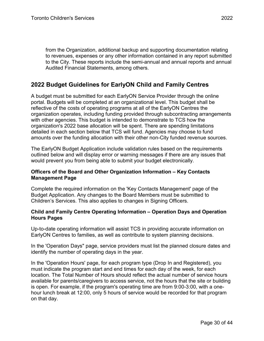from the Organization, additional backup and supporting documentation relating to revenues, expenses or any other information contained in any report submitted to the City. These reports include the semi-annual and annual reports and annual Audited Financial Statements, among others.

# <span id="page-29-0"></span>**2022 Budget Guidelines for EarlyON Child and Family Centres**

A budget must be submitted for each EarlyON Service Provider through the online portal. Budgets will be completed at an organizational level. This budget shall be reflective of the costs of operating programs at all of the EarlyON Centres the organization operates, including funding provided through subcontracting arrangements with other agencies. This budget is intended to demonstrate to TCS how the organization's 2022 base allocation will be spent. There are spending limitations detailed in each section below that TCS will fund. Agencies may choose to fund amounts over the funding allocation with their other non-City funded revenue sources.

The EarlyON Budget Application include validation rules based on the requirements outlined below and will display error or warning messages if there are any issues that would prevent you from being able to submit your budget electronically.

## **Officers of the Board and Other Organization Information – Key Contacts Management Page**

Complete the required information on the 'Key Contacts Management' page of the Budget Application. Any changes to the Board Members must be submitted to Children's Services. This also applies to changes in Signing Officers.

#### **Child and Family Centre Operating Information – Operation Days and Operation Hours Pages**

Up-to-date operating information will assist TCS in providing accurate information on EarlyON Centres to families, as well as contribute to system planning decisions.

In the 'Operation Days" page, service providers must list the planned closure dates and identify the number of operating days in the year.

In the 'Operation Hours' page, for each program type (Drop In and Registered), you must indicate the program start and end times for each day of the week, for each location. The Total Number of Hours should reflect the actual number of service hours available for parents/caregivers to access service, not the hours that the site or building is open. For example, if the program's operating time are from 9:00-3:00, with a onehour lunch break at 12:00, only 5 hours of service would be recorded for that program on that day.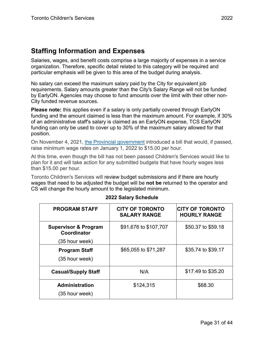# <span id="page-30-0"></span>**Staffing Information and Expenses**

Salaries, wages, and benefit costs comprise a large majority of expenses in a service organization. Therefore, specific detail related to this category will be required and particular emphasis will be given to this area of the budget during analysis.

No salary can exceed the maximum salary paid by the City for equivalent job requirements. Salary amounts greater than the City's Salary Range will not be funded by EarlyON. Agencies may choose to fund amounts over the limit with their other non-City funded revenue sources.

**Please note:** this applies even if a salary is only partially covered through EarlyON funding and the amount claimed is less than the maximum amount. For example, if 30% of an administrative staff's salary is claimed as an EarlyON expense, TCS EarlyON funding can only be used to cover up to 30% of the maximum salary allowed for that position.

On November 4, 2021, [the Provincial government](https://www.ontario.ca/document/your-guide-employment-standards-act-0/minimum-wage) introduced a bill that would, if passed, raise minimum wage rates on January 1, 2022 to \$15.00 per hour.

At this time, even though the bill has not been passed Children's Services would like to plan for it and will take action for any submitted budgets that have hourly wages less than \$15.00 per hour.

Toronto Children's Services will review budget submissions and if there are hourly wages that need to be adjusted the budget will be **not be** returned to the operator and CS will change the hourly amount to the legislated minimum.

| <b>PROGRAM STAFF</b>                           | <b>CITY OF TORONTO</b><br><b>SALARY RANGE</b> | <b>CITY OF TORONTO</b><br><b>HOURLY RANGE</b> |
|------------------------------------------------|-----------------------------------------------|-----------------------------------------------|
| <b>Supervisor &amp; Program</b><br>Coordinator | \$91,676 to \$107,707                         | \$50.37 to \$59.18                            |
| (35 hour week)                                 |                                               |                                               |
| <b>Program Staff</b><br>(35 hour week)         | \$65,055 to \$71,287                          | \$35.74 to \$39.17                            |
|                                                |                                               |                                               |
| <b>Casual/Supply Staff</b>                     | N/A                                           | \$17.49 to \$35.20                            |
| <b>Administration</b>                          | \$124,315                                     | \$68.30                                       |
| (35 hour week)                                 |                                               |                                               |

## **2022 Salary Schedule**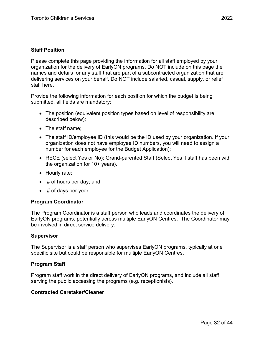## **Staff Position**

Please complete this page providing the information for all staff employed by your organization for the delivery of EarlyON programs. Do NOT include on this page the names and details for any staff that are part of a subcontracted organization that are delivering services on your behalf. Do NOT include salaried, casual, supply, or relief staff here.

Provide the following information for each position for which the budget is being submitted, all fields are mandatory:

- The position (equivalent position types based on level of responsibility are described below);
- The staff name:
- The staff ID/employee ID (this would be the ID used by your organization. If your organization does not have employee ID numbers, you will need to assign a number for each employee for the Budget Application);
- RECE (select Yes or No); Grand-parented Staff (Select Yes if staff has been with the organization for 10+ years).
- Hourly rate;
- # of hours per day; and
- $\bullet$  # of days per year

#### **Program Coordinator**

The Program Coordinator is a staff person who leads and coordinates the delivery of EarlyON programs, potentially across multiple EarlyON Centres. The Coordinator may be involved in direct service delivery.

#### **Supervisor**

The Supervisor is a staff person who supervises EarlyON programs, typically at one specific site but could be responsible for multiple EarlyON Centres.

#### **Program Staff**

Program staff work in the direct delivery of EarlyON programs, and include all staff serving the public accessing the programs (e.g. receptionists).

#### **Contracted Caretaker/Cleaner**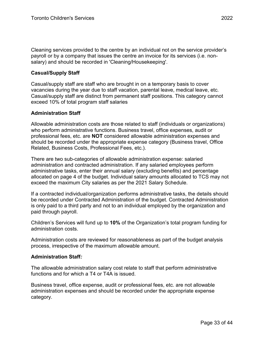Cleaning services provided to the centre by an individual not on the service provider's payroll or by a company that issues the centre an invoice for its services (i.e. nonsalary) and should be recorded in 'Cleaning/Housekeeping'.

#### **Casual/Supply Staff**

Casual/supply staff are staff who are brought in on a temporary basis to cover vacancies during the year due to staff vacation, parental leave, medical leave, etc. Casual/supply staff are distinct from permanent staff positions. This category cannot exceed 10% of total program staff salaries

#### **Administration Staff**

Allowable administration costs are those related to staff (individuals or organizations) who perform administrative functions. Business travel, office expenses, audit or professional fees, etc. are **NOT** considered allowable administration expenses and should be recorded under the appropriate expense category (Business travel, Office Related, Business Costs, Professional Fees, etc.).

There are two sub-categories of allowable administration expense: salaried administration and contracted administration. If any salaried employees perform administrative tasks, enter their annual salary (excluding benefits) and percentage allocated on page 4 of the budget. Individual salary amounts allocated to TCS may not exceed the maximum City salaries as per the 2021 Salary Schedule.

If a contracted individual/organization performs administrative tasks, the details should be recorded under Contracted Administration of the budget. Contracted Administration is only paid to a third party and not to an individual employed by the organization and paid through payroll.

Children's Services will fund up to **10%** of the Organization's total program funding for administration costs.

Administration costs are reviewed for reasonableness as part of the budget analysis process, irrespective of the maximum allowable amount.

#### **Administration Staff***:*

The allowable administration salary cost relate to staff that perform administrative functions and for which a T4 or T4A is issued.

Business travel, office expense, audit or professional fees, etc. are not allowable administration expenses and should be recorded under the appropriate expense category.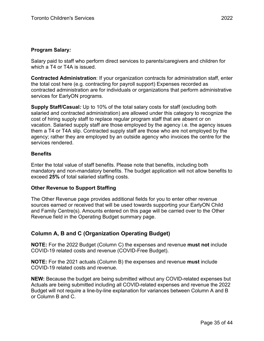Salary paid to staff who perform direct services to parents/caregivers and children for which a T4 or T4A is issued.

**Contracted Administration**: If your organization contracts for administration staff, enter the total cost here (e.g. contracting for payroll support) Expenses recorded as contracted administration are for individuals or organizations that perform administrative services for EarlyON programs.

**Supply Staff/Casual***:* Up to 10% of the total salary costs for staff (excluding both salaried and contracted administration) are allowed under this category to recognize the cost of hiring supply staff to replace regular program staff that are absent or on vacation. Salaried supply staff are those employed by the agency i.e. the agency issues them a T4 or T4A slip. Contracted supply staff are those who are not employed by the agency; rather they are employed by an outside agency who invoices the centre for the services rendered.

## **Benefits**

Enter the total value of staff benefits. Please note that benefits, including both mandatory and non-mandatory benefits. The budget application will not allow benefits to exceed **25%** of total salaried staffing costs.

## **Other Revenue to Support Staffing**

The Other Revenue page provides additional fields for you to enter other revenue sources earned or received that will be used towards supporting your EarlyON Child and Family Centre(s). Amounts entered on this page will be carried over to the Other Revenue field in the Operating Budget summary page.

# <span id="page-34-0"></span>**Column A, B and C (Organization Operating Budget)**

**NOTE:** For the 2022 Budget (Column C) the expenses and revenue **must not** include COVID-19 related costs and revenue (COVID-Free Budget).

**NOTE:** For the 2021 actuals (Column B) the expenses and revenue **must** include COVID-19 related costs and revenue.

**NEW:** Because the budget are being submitted without any COVID-related expenses but Actuals are being submitted including all COVID-related expenses and revenue the 2022 Budget will not require a line-by-line explanation for variances between Column A and B or Column B and C.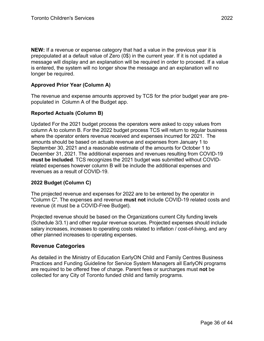**NEW:** If a revenue or expense category that had a value in the previous year it is prepopulated at a default value of Zero (0\$) in the current year. If it is not updated a message will display and an explanation will be required in order to proceed. If a value is entered, the system will no longer show the message and an explanation will no longer be required.

# **Approved Prior Year (Column A)**

The revenue and expense amounts approved by TCS for the prior budget year are prepopulated in Column A of the Budget app.

## **Reported Actuals (Column B)**

Updated For the 2021 budget process the operators were asked to copy values from column A to column B. For the 2022 budget process TCS will return to regular business where the operator enters revenue received and expenses incurred for 2021. The amounts should be based on actuals revenue and expenses from January 1 to September 30, 2021 and a reasonable estimate of the amounts for October 1 to December 31, 2021. The additional expenses and revenues resulting from COVID-19 **must be included**. TCS recognizes the 2021 budget was submitted without COVIDrelated expenses however column B will be include the additional expenses and revenues as a result of COVID-19.

## **2022 Budget (Column C)**

The projected revenue and expenses for 2022 are to be entered by the operator in "Column C". The expenses and revenue **must not** include COVID-19 related costs and revenue (it must be a COVID-Free Budget).

Projected revenue should be based on the Organizations current City funding levels (Schedule 3/3.1) and other regular revenue sources. Projected expenses should include salary increases, increases to operating costs related to inflation / cost-of-living, and any other planned increases to operating expenses.

# <span id="page-35-0"></span>**Revenue Categories**

As detailed in the Ministry of Education EarlyON Child and Family Centres Business Practices and Funding Guideline for Service System Managers all EarlyON programs are required to be offered free of charge. Parent fees or surcharges must **not** be collected for any City of Toronto funded child and family programs.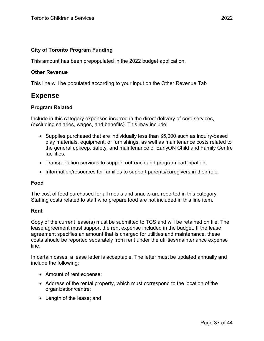## **City of Toronto Program Funding**

This amount has been prepopulated in the 2022 budget application.

#### **Other Revenue**

This line will be populated according to your input on the Other Revenue Tab

# <span id="page-36-0"></span>**Expense**

## **Program Related**

Include in this category expenses incurred in the direct delivery of core services, (excluding salaries, wages, and benefits). This may include:

- Supplies purchased that are individually less than \$5,000 such as inquiry-based play materials, equipment, or furnishings, as well as maintenance costs related to the general upkeep, safety, and maintenance of EarlyON Child and Family Centre facilities.
- Transportation services to support outreach and program participation,
- Information/resources for families to support parents/caregivers in their role.

#### **Food**

The cost of food purchased for all meals and snacks are reported in this category. Staffing costs related to staff who prepare food are not included in this line item.

#### **Rent**

Copy of the current lease(s) must be submitted to TCS and will be retained on file. The lease agreement must support the rent expense included in the budget. If the lease agreement specifies an amount that is charged for utilities and maintenance, these costs should be reported separately from rent under the utilities/maintenance expense line.

In certain cases, a lease letter is acceptable. The letter must be updated annually and include the following:

- Amount of rent expense;
- Address of the rental property, which must correspond to the location of the organization/centre;
- Length of the lease; and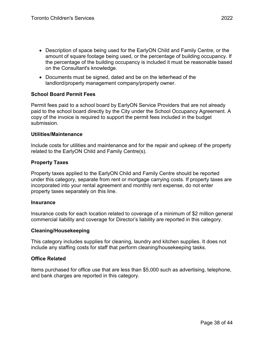- Description of space being used for the EarlyON Child and Family Centre, or the amount of square footage being used, or the percentage of building occupancy. If the percentage of the building occupancy is included it must be reasonable based on the Consultant's knowledge.
- Documents must be signed, dated and be on the letterhead of the landlord/property management company/property owner.

# **School Board Permit Fees**

Permit fees paid to a school board by EarlyON Service Providers that are not already paid to the school board directly by the City under the School Occupancy Agreement. A copy of the invoice is required to support the permit fees included in the budget submission.

#### **Utilities/Maintenance**

Include costs for utilities and maintenance and for the repair and upkeep of the property related to the EarlyON Child and Family Centre(s).

## **Property Taxes**

Property taxes applied to the EarlyON Child and Family Centre should be reported under this category, separate from rent or mortgage carrying costs. If property taxes are incorporated into your rental agreement and monthly rent expense, do not enter property taxes separately on this line.

#### **Insurance**

Insurance costs for each location related to coverage of a minimum of \$2 million general commercial liability and coverage for Director's liability are reported in this category.

## **Cleaning/Housekeeping**

This category includes supplies for cleaning, laundry and kitchen supplies. It does not include any staffing costs for staff that perform cleaning/housekeeping tasks.

## **Office Related**

Items purchased for office use that are less than \$5,000 such as advertising, telephone, and bank charges are reported in this category.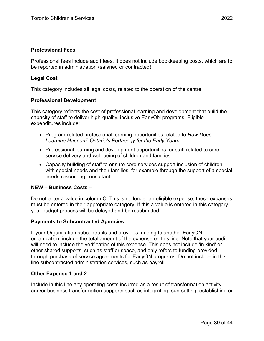#### **Professional Fees**

Professional fees include audit fees. It does not include bookkeeping costs, which are to be reported in administration (salaried or contracted).

#### **Legal Cost**

This category includes all legal costs, related to the operation of the centre

#### **Professional Development**

This category reflects the cost of professional learning and development that build the capacity of staff to deliver high-quality, inclusive EarlyON programs. Eligible expenditures include:

- Program-related professional learning opportunities related to *How Does Learning Happen? Ontario's Pedagogy for the Early Years*.
- Professional learning and development opportunities for staff related to core service delivery and well-being of children and families.
- Capacity building of staff to ensure core services support inclusion of children with special needs and their families, for example through the support of a special needs resourcing consultant.

#### **NEW – Business Costs –**

Do not enter a value in column C. This is no longer an eligible expense, these expanses must be entered in their appropriate category. If this a value is entered in this category your budget process will be delayed and be resubmitted

#### **Payments to Subcontracted Agencies**

If your Organization subcontracts and provides funding to another EarlyON organization, include the total amount of the expense on this line. Note that your audit will need to include the verification of this expense. This does not include 'in kind' or other shared supports, such as staff or space, and only refers to funding provided through purchase of service agreements for EarlyON programs. Do not include in this line subcontracted administration services, such as payroll.

#### **Other Expense 1 and 2**

Include in this line any operating costs incurred as a result of transformation activity and/or business transformation supports such as integrating, sun-setting, establishing or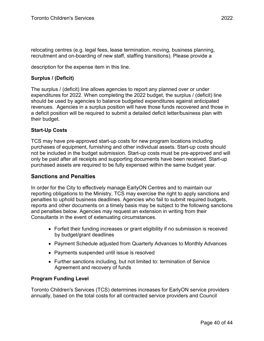relocating centres (e.g. legal fees, lease termination, moving, business planning, recruitment and on-boarding of new staff, staffing transitions). Please provide a

description for the expense item in this line.

# **Surplus / (Deficit)**

The surplus / (deficit) line allows agencies to report any planned over or under expenditures for 2022. When completing the 2022 budget, the surplus / (deficit) line should be used by agencies to balance budgeted expenditures against anticipated revenues. Agencies in a surplus position will have those funds recovered and those in a deficit position will be required to submit a detailed deficit letter/business plan with their budget.

# **Start-Up Costs**

TCS may have pre-approved start-up costs for new program locations including purchases of equipment, furnishing and other individual assets. Start-up costs should not be included in the budget submission. Start-up costs must be pre-approved and will only be paid after all receipts and supporting documents have been received. Start-up purchased assets are required to be fully expensed within the same budget year.

# <span id="page-39-0"></span>**Sanctions and Penalties**

In order for the City to effectively manage EarlyON Centres and to maintain our reporting obligations to the Ministry, TCS may exercise the right to apply sanctions and penalties to uphold business deadlines. Agencies who fail to submit required budgets, reports and other documents on a timely basis may be subject to the following sanctions and penalties below. Agencies may request an extension in writing from their Consultants in the event of extenuating circumstances.

- Forfeit their funding increases or grant eligibility if no submission is received by budget/grant deadlines
- Payment Schedule adjusted from Quarterly Advances to Monthly Advances
- Payments suspended until issue is resolved
- Further sanctions including, but not limited to: termination of Service Agreement and recovery of funds

## **Program Funding Level**

Toronto Children's Services (TCS) determines increases for EarlyON service providers annually, based on the total costs for all contracted service providers and Council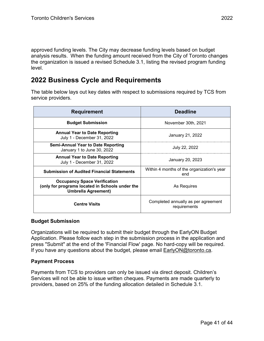approved funding levels. The City may decrease funding levels based on budget analysis results. When the funding amount received from the City of Toronto changes the organization is issued a revised Schedule 3.1, listing the revised program funding level.

# <span id="page-40-0"></span>**2022 Business Cycle and Requirements**

The table below lays out key dates with respect to submissions required by TCS from service providers.

| <b>Requirement</b>                                                                                                   | <b>Deadline</b>                                     |  |
|----------------------------------------------------------------------------------------------------------------------|-----------------------------------------------------|--|
| <b>Budget Submission</b>                                                                                             | November 30th, 2021                                 |  |
| <b>Annual Year to Date Reporting</b><br>July 1 - December 31, 2022                                                   | January 21, 2022                                    |  |
| <b>Semi-Annual Year to Date Reporting</b><br>January 1 to June 30, 2022                                              | July 22, 2022                                       |  |
| <b>Annual Year to Date Reporting</b><br>July 1 - December 31, 2022                                                   | January 20, 2023                                    |  |
| <b>Submission of Audited Financial Statements</b>                                                                    | Within 4 months of the organization's year<br>end   |  |
| <b>Occupancy Space Verification</b><br>(only for programs located in Schools under the<br><b>Umbrella Agreement)</b> | As Requires                                         |  |
| <b>Centre Visits</b>                                                                                                 | Completed annually as per agreement<br>requirements |  |

## **Budget Submission**

Organizations will be required to submit their budget through the EarlyON Budget Application. Please follow each step in the submission process in the application and press "Submit" at the end of the 'Financial Flow' page. No hard-copy will be required. If you have any questions about the budget, please email **EarlyON@toronto.ca.** 

# **Payment Process**

Payments from TCS to providers can only be issued via direct deposit. Children's Services will not be able to issue written cheques. Payments are made quarterly to providers, based on 25% of the funding allocation detailed in Schedule 3.1.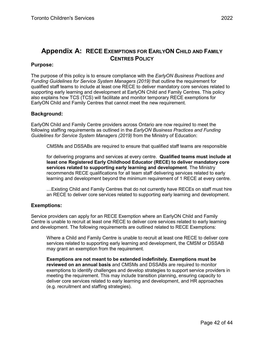# <span id="page-41-0"></span>**Appendix A: RECE EXEMPTIONS FOR EARLYON CHILD AND FAMILY CENTRES POLICY**

#### **Purpose:**

The purpose of this policy is to ensure compliance with the *EarlyON Business Practices and Funding Guidelines for Service System Managers (2019)* that outline the requirement for qualified staff teams to include at least one RECE to deliver mandatory core services related to supporting early learning and development at EarlyON Child and Family Centres. This policy also explains how TCS (TCS) will facilitate and monitor temporary RECE exemptions for EarlyON Child and Family Centres that cannot meet the new requirement.

#### **Background:**

EarlyON Child and Family Centre providers across Ontario are now required to meet the following staffing requirements as outlined in the *EarlyON Business Practices and Funding Guidelines for Service System Managers (2019)* from the Ministry of Education:

CMSMs and DSSABs are required to ensure that qualified staff teams are responsible

for delivering programs and services at every centre. **Qualified teams must include at least one Registered Early Childhood Educator (RECE) to deliver mandatory core services related to supporting early learning and development**. The Ministry recommends RECE qualifications for all team staff delivering services related to early learning and development beyond the minimum requirement of 1 RECE at every centre.

…Existing Child and Family Centres that do not currently have RECEs on staff must hire an RECE to deliver core services related to supporting early learning and development.

## **Exemptions:**

Service providers can apply for an RECE Exemption where an EarlyON Child and Family Centre is unable to recruit at least one RECE to deliver core services related to early learning and development. The following requirements are outlined related to RECE Exemptions:

Where a Child and Family Centre is unable to recruit at least one RECE to deliver core services related to supporting early learning and development, the CMSM or DSSAB may grant an exemption from the requirement.

**Exemptions are not meant to be extended indefinitely. Exemptions must be reviewed on an annual basis** and CMSMs and DSSABs are required to monitor exemptions to identify challenges and develop strategies to support service providers in meeting the requirement. This may include transition planning, ensuring capacity to deliver core services related to early learning and development, and HR approaches (e.g. recruitment and staffing strategies).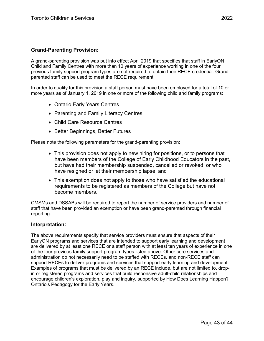## **Grand-Parenting Provision:**

A grand-parenting provision was put into effect April 2019 that specifies that staff in EarlyON Child and Family Centres with more than 10 years of experience working in one of the four previous family support program types are not required to obtain their RECE credential. Grandparented staff can be used to meet the RECE requirement.

In order to qualify for this provision a staff person must have been employed for a total of 10 or more years as of January 1, 2019 in one or more of the following child and family programs:

- Ontario Early Years Centres
- Parenting and Family Literacy Centres
- Child Care Resource Centres
- Better Beginnings, Better Futures

Please note the following parameters for the grand-parenting provision:

- This provision does not apply to new hiring for positions, or to persons that have been members of the College of Early Childhood Educators in the past, but have had their membership suspended, cancelled or revoked, or who have resigned or let their membership lapse; and
- This exemption does not apply to those who have satisfied the educational requirements to be registered as members of the College but have not become members.

CMSMs and DSSABs will be required to report the number of service providers and number of staff that have been provided an exemption or have been grand-parented through financial reporting*.* 

#### **Interpretation:**

The above requirements specify that service providers must ensure that aspects of their EarlyON programs and services that are intended to support early learning and development are delivered by at least one RECE or a staff person with at least ten years of experience in one of the four previous family support program types listed above. Other core services and administration do not necessarily need to be staffed with RECEs, and non-RECE staff can support RECEs to deliver programs and services that support early learning and development. Examples of programs that must be delivered by an RECE include, but are not limited to, dropin or registered programs and services that build responsive adult-child relationships and encourage children's exploration, play and inquiry, supported by How Does Learning Happen? Ontario's Pedagogy for the Early Years.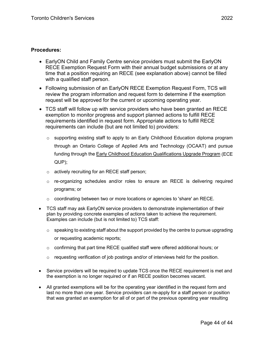#### **Procedures:**

- EarlyON Child and Family Centre service providers must submit the EarlyON RECE Exemption Request Form with their annual budget submissions or at any time that a position requiring an RECE (see explanation above) cannot be filled with a qualified staff person.
- Following submission of an EarlyON RECE Exemption Request Form, TCS will review the program information and request form to determine if the exemption request will be approved for the current or upcoming operating year.
- TCS staff will follow up with service providers who have been granted an RECE exemption to monitor progress and support planned actions to fulfill RECE requirements identified in request form. Appropriate actions to fulfill RECE requirements can include (but are not limited to) providers:
	- $\circ$  supporting existing staff to apply to an Early Childhood Education diploma program through an Ontario College of Applied Arts and Technology (OCAAT) and pursue funding through the [Early Childhood Education Qualifications Upgrade Program](http://www.ecegrants.on.ca/) (ECE QUP);
	- o actively recruiting for an RECE staff person;
	- $\circ$  re-organizing schedules and/or roles to ensure an RECE is delivering required programs; or
	- $\circ$  coordinating between two or more locations or agencies to 'share' an RECE.
- TCS staff may ask EarlyON service providers to demonstrate implementation of their plan by providing concrete examples of actions taken to achieve the requirement. Examples can include (but is not limited to) TCS staff:
	- $\circ$  speaking to existing staff about the support provided by the centre to pursue upgrading or requesting academic reports;
	- $\circ$  confirming that part time RECE qualified staff were offered additional hours; or
	- $\circ$  requesting verification of job postings and/or of interviews held for the position.
- Service providers will be required to update TCS once the RECE requirement is met and the exemption is no longer required or if an RECE position becomes vacant.
- All granted exemptions will be for the operating year identified in the request form and last no more than one year. Service providers can re-apply for a staff person or position that was granted an exemption for all of or part of the previous operating year resulting